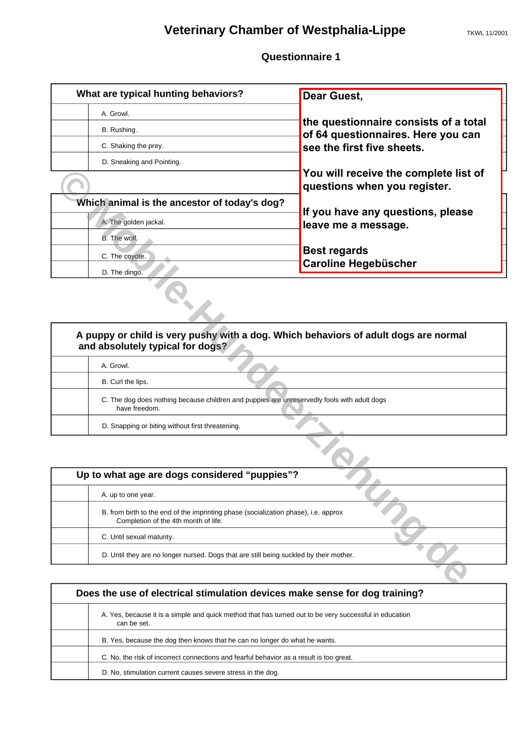## **Veterinary Chamber of Westphalia-Lippe** TKWL 11/2001

| What are typical hunting behaviors?          | <b>Dear Guest,</b>                                                          |
|----------------------------------------------|-----------------------------------------------------------------------------|
| A. Growl.                                    |                                                                             |
| B. Rushing.                                  | the questionnaire consists of a total<br>of 64 questionnaires. Here you can |
| C. Shaking the prey.                         | see the first five sheets.                                                  |
| D. Sneaking and Pointing.                    |                                                                             |
|                                              | You will receive the complete list of<br>questions when you register.       |
| Which animal is the ancestor of today's dog? |                                                                             |
| A. The golden jackal.                        | If you have any questions, please<br>leave me a message.                    |
| B. The wolf.                                 |                                                                             |
| C. The coyote.                               | <b>Best regards</b><br><b>Caroline Hegebüscher</b>                          |
| D. The dingo.                                |                                                                             |

|                                                                                                                             | You will receive the complete list of<br>questions when you register. |
|-----------------------------------------------------------------------------------------------------------------------------|-----------------------------------------------------------------------|
| Which animal is the ancestor of today's dog?                                                                                | If you have any questions, please                                     |
| A. The golden jackal.                                                                                                       | leave me a message.                                                   |
| B. The wolf.                                                                                                                |                                                                       |
| C. The coyote.                                                                                                              | <b>Best regards</b>                                                   |
| D. The dingo.                                                                                                               | Caroline Hegebüscher                                                  |
| A puppy or child is very pushy with a dog. Which behaviors of adult dogs are normal<br>and absolutely typical for dogs?     |                                                                       |
| A. Growl.                                                                                                                   |                                                                       |
| B. Curl the lips.                                                                                                           |                                                                       |
| C. The dog does nothing because children and puppies are unreservedly fools with adult dogs<br>have freedom.                |                                                                       |
| D. Snapping or biting without first threatening.                                                                            |                                                                       |
|                                                                                                                             |                                                                       |
| Up to what age are dogs considered "puppies"?                                                                               |                                                                       |
| A. up to one year.                                                                                                          |                                                                       |
| B. from birth to the end of the imprinting phase (socialization phase), i.e. approx<br>Completion of the 4th month of life. |                                                                       |
| C. Until sexual maturity.                                                                                                   |                                                                       |
| D. Until they are no longer nursed. Dogs that are still being suckled by their mother.                                      |                                                                       |
|                                                                                                                             |                                                                       |

| Up to what age are dogs considered "puppies"?                                                                               |  |  |
|-----------------------------------------------------------------------------------------------------------------------------|--|--|
| A. up to one year.                                                                                                          |  |  |
| B. from birth to the end of the imprinting phase (socialization phase), i.e. approx<br>Completion of the 4th month of life. |  |  |
| C. Until sexual maturity.                                                                                                   |  |  |
| D. Until they are no longer nursed. Dogs that are still being suckled by their mother.                                      |  |  |

| Does the use of electrical stimulation devices make sense for dog training? |                                                                                                                       |  |
|-----------------------------------------------------------------------------|-----------------------------------------------------------------------------------------------------------------------|--|
|                                                                             | A. Yes, because it is a simple and quick method that has turned out to be very successful in education<br>can be set. |  |
|                                                                             | B. Yes, because the dog then knows that he can no longer do what he wants.                                            |  |
|                                                                             | C. No, the risk of incorrect connections and fearful behavior as a result is too great.                               |  |
|                                                                             | D. No, stimulation current causes severe stress in the dog.                                                           |  |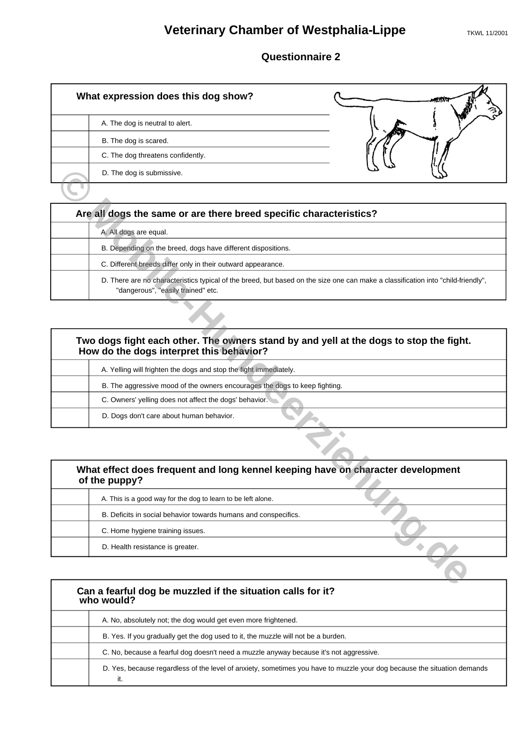## **Veterinary Chamber of Westphalia-Lippe** TKWL 11/2001

### **Questionnaire 2**

| What expression does this dog show? |  |
|-------------------------------------|--|
| A. The dog is neutral to alert.     |  |
| B. The dog is scared.               |  |
| C. The dog threatens confidently.   |  |
| D. The dog is submissive.           |  |
|                                     |  |

| Are all dogs the same or are there breed specific characteristics? |                                                                                                                                                                        |  |
|--------------------------------------------------------------------|------------------------------------------------------------------------------------------------------------------------------------------------------------------------|--|
|                                                                    | A. All dogs are equal.                                                                                                                                                 |  |
|                                                                    | B. Depending on the breed, dogs have different dispositions.                                                                                                           |  |
|                                                                    | C. Different breeds differ only in their outward appearance.                                                                                                           |  |
|                                                                    | D. There are no characteristics typical of the breed, but based on the size one can make a classification into "child-friendly",<br>"dangerous", "easily trained" etc. |  |

| D. The dog is submissive.                                                                                                                                              |  |
|------------------------------------------------------------------------------------------------------------------------------------------------------------------------|--|
|                                                                                                                                                                        |  |
| Are all dogs the same or are there breed specific characteristics?                                                                                                     |  |
| A. All dogs are equal.                                                                                                                                                 |  |
| B. Depending on the breed, dogs have different dispositions.                                                                                                           |  |
| C. Different breeds differ only in their outward appearance.                                                                                                           |  |
| D. There are no characteristics typical of the breed, but based on the size one can make a classification into "child-friendly",<br>"dangerous", "easily trained" etc. |  |
|                                                                                                                                                                        |  |
| Two dogs fight each other. The owners stand by and yell at the dogs to stop the fight.<br>How do the dogs interpret this behavior?                                     |  |
| A. Yelling will frighten the dogs and stop the fight immediately.                                                                                                      |  |
| B. The aggressive mood of the owners encourages the dogs to keep fighting.                                                                                             |  |
| C. Owners' yelling does not affect the dogs' behavior.                                                                                                                 |  |
| D. Dogs don't care about human behavior.                                                                                                                               |  |
|                                                                                                                                                                        |  |
| What effect does frequent and long kennel keeping have on character development<br>of the puppy?                                                                       |  |
| A. This is a good way for the dog to learn to be left alone.                                                                                                           |  |
| B. Deficits in social behavior towards humans and conspecifics.                                                                                                        |  |
| C. Home hygiene training issues.                                                                                                                                       |  |
| D. Health resistance is greater.                                                                                                                                       |  |
|                                                                                                                                                                        |  |
|                                                                                                                                                                        |  |

| What effect does frequent and long kennel keeping have on character development<br>of the puppy? |  |
|--------------------------------------------------------------------------------------------------|--|
| A. This is a good way for the dog to learn to be left alone.                                     |  |
| B. Deficits in social behavior towards humans and conspecifics.                                  |  |
| C. Home hygiene training issues.                                                                 |  |
| D. Health resistance is greater.                                                                 |  |

| Can a fearful dog be muzzled if the situation calls for it?<br>who would?                                                      |  |
|--------------------------------------------------------------------------------------------------------------------------------|--|
| A. No, absolutely not; the dog would get even more frightened.                                                                 |  |
| B. Yes. If you gradually get the dog used to it, the muzzle will not be a burden.                                              |  |
| C. No, because a fearful dog doesn't need a muzzle anyway because it's not aggressive.                                         |  |
| D. Yes, because regardless of the level of anxiety, sometimes you have to muzzle your dog because the situation demands<br>it. |  |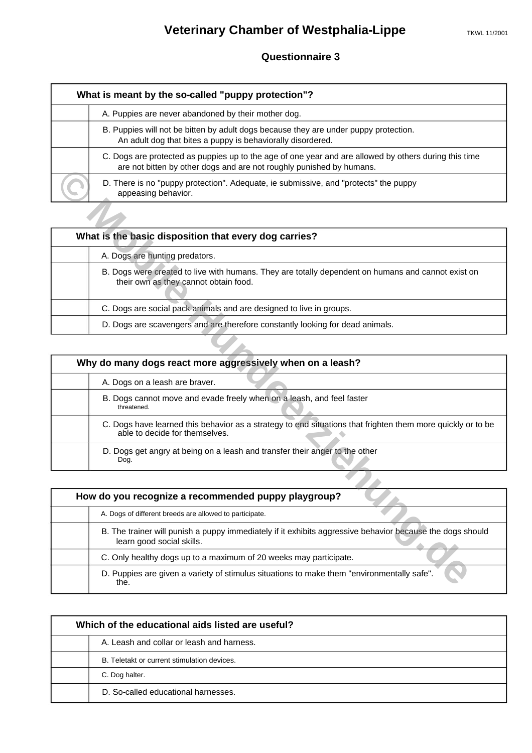| What is meant by the so-called "puppy protection"? |                                                                                                                                                                               |  |
|----------------------------------------------------|-------------------------------------------------------------------------------------------------------------------------------------------------------------------------------|--|
|                                                    | A. Puppies are never abandoned by their mother dog.                                                                                                                           |  |
|                                                    | B. Puppies will not be bitten by adult dogs because they are under puppy protection.<br>An adult dog that bites a puppy is behaviorally disordered.                           |  |
|                                                    | C. Dogs are protected as puppies up to the age of one year and are allowed by others during this time<br>are not bitten by other dogs and are not roughly punished by humans. |  |
|                                                    | D. There is no "puppy protection". Adequate, ie submissive, and "protects" the puppy<br>appeasing behavior.                                                                   |  |

| What is the basic disposition that every dog carries?                                                                                       |  |  |
|---------------------------------------------------------------------------------------------------------------------------------------------|--|--|
| A. Dogs are hunting predators.                                                                                                              |  |  |
| B. Dogs were created to live with humans. They are totally dependent on humans and cannot exist on<br>their own as they cannot obtain food. |  |  |
| C. Dogs are social pack animals and are designed to live in groups.                                                                         |  |  |
| D. Dogs are scavengers and are therefore constantly looking for dead animals.                                                               |  |  |

| are not bitten by other dogs and are not roughly punished by humans.                                                                          |
|-----------------------------------------------------------------------------------------------------------------------------------------------|
| D. There is no "puppy protection". Adequate, ie submissive, and "protects" the puppy<br>appeasing behavior.                                   |
|                                                                                                                                               |
| What is the basic disposition that every dog carries?                                                                                         |
| A. Dogs are hunting predators.                                                                                                                |
| B. Dogs were created to live with humans. They are totally dependent on humans and cannot exist on<br>their own as they cannot obtain food.   |
| C. Dogs are social pack animals and are designed to live in groups.                                                                           |
| D. Dogs are scavengers and are therefore constantly looking for dead animals.                                                                 |
|                                                                                                                                               |
| Why do many dogs react more aggressively when on a leash?                                                                                     |
| A. Dogs on a leash are braver.                                                                                                                |
| B. Dogs cannot move and evade freely when on a leash, and feel faster<br>threatened.                                                          |
| C. Dogs have learned this behavior as a strategy to end situations that frighten them more quickly or to be<br>able to decide for themselves. |
| D. Dogs get angry at being on a leash and transfer their anger to the other<br>Dog.                                                           |
|                                                                                                                                               |
| How do you recognize a recommended puppy playgroup?                                                                                           |
| A. Dogs of different breeds are allowed to participate.                                                                                       |
| B. The trainer will punish a puppy immediately if it exhibits aggressive behavior because the dogs should<br>learn good social skills.        |
| C. Only healthy dogs up to a maximum of 20 weeks may participate.                                                                             |
| D. Puppies are given a variety of stimulus situations to make them "environmentally safe".<br>the.                                            |

| How do you recognize a recommended puppy playgroup?                                                                                    |  |
|----------------------------------------------------------------------------------------------------------------------------------------|--|
| A. Dogs of different breeds are allowed to participate.                                                                                |  |
| B. The trainer will punish a puppy immediately if it exhibits aggressive behavior because the dogs should<br>learn good social skills. |  |
| C. Only healthy dogs up to a maximum of 20 weeks may participate.                                                                      |  |
| D. Puppies are given a variety of stimulus situations to make them "environmentally safe".<br>the.                                     |  |

| Which of the educational aids listed are useful? |  |
|--------------------------------------------------|--|
| A. Leash and collar or leash and harness.        |  |
| B. Teletakt or current stimulation devices.      |  |
| C. Dog halter.                                   |  |
| D. So-called educational harnesses.              |  |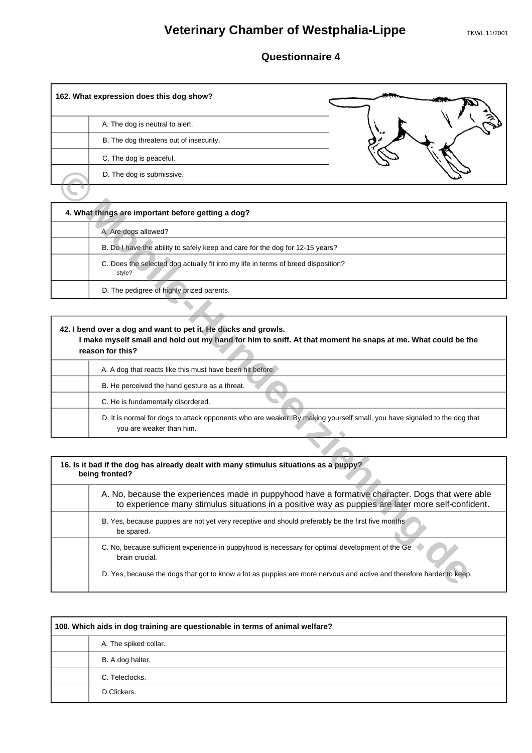# **Veterinary Chamber of Westphalia-Lippe** TKWL 11/2001

### **Questionnaire 4**

| 162. What expression does this dog show? |           |
|------------------------------------------|-----------|
| A. The dog is neutral to alert.          |           |
| B. The dog threatens out of insecurity.  | $\cdot$ . |
| C. The dog is peaceful.                  |           |
| D. The dog is submissive.                |           |
|                                          |           |

| 4. What things are important before getting a dog?                                          |  |
|---------------------------------------------------------------------------------------------|--|
| A. Are dogs allowed?                                                                        |  |
| B. Do I have the ability to safely keep and care for the dog for 12-15 years?               |  |
| C. Does the selected dog actually fit into my life in terms of breed disposition?<br>style? |  |
| D. The pedigree of highly prized parents.                                                   |  |

г

| 42. I bend over a dog and want to pet it. He ducks and growls.<br>I make myself small and hold out my hand for him to sniff. At that moment he snaps at me. What could be the<br>reason for this? |
|---------------------------------------------------------------------------------------------------------------------------------------------------------------------------------------------------|
| A. A dog that reacts like this must have been hit before.                                                                                                                                         |
| B. He perceived the hand gesture as a threat.                                                                                                                                                     |
| C. He is fundamentally disordered.                                                                                                                                                                |
| D. It is normal for dogs to attack opponents who are weaker. By making yourself small, you have signaled to the dog that<br>you are weaker than him.                                              |

| D. The dog is submissive.                                                                                                                                                                              |
|--------------------------------------------------------------------------------------------------------------------------------------------------------------------------------------------------------|
|                                                                                                                                                                                                        |
| 4. What things are important before getting a dog?                                                                                                                                                     |
| A. Are dogs allowed?                                                                                                                                                                                   |
| B. Do I have the ability to safely keep and care for the dog for 12-15 years?                                                                                                                          |
| C. Does the selected dog actually fit into my life in terms of breed disposition?<br>style?                                                                                                            |
| D. The pedigree of highly prized parents.                                                                                                                                                              |
|                                                                                                                                                                                                        |
| 42. I bend over a dog and want to pet it. He ducks and growls.<br>I make myself small and hold out my hand for him to sniff. At that moment he snaps at me. What could be the<br>reason for this?      |
| A. A dog that reacts like this must have been hit before.                                                                                                                                              |
| B. He perceived the hand gesture as a threat.                                                                                                                                                          |
| C. He is fundamentally disordered.                                                                                                                                                                     |
| D. It is normal for dogs to attack opponents who are weaker. By making yourself small, you have signaled to the dog that<br>you are weaker than him.                                                   |
|                                                                                                                                                                                                        |
| 16. Is it bad if the dog has already dealt with many stimulus situations as a puppy?<br>being fronted?                                                                                                 |
| A. No, because the experiences made in puppyhood have a formative character. Dogs that were able<br>to experience many stimulus situations in a positive way as puppies are later more self-confident. |
| B. Yes, because puppies are not yet very receptive and should preferably be the first five months<br>be spared.                                                                                        |
| C. No, because sufficient experience in puppyhood is necessary for optimal development of the Ge<br>brain crucial.                                                                                     |
| D. Yes, because the dogs that got to know a lot as puppies are more nervous and active and therefore harder to keep.                                                                                   |

| 100. Which aids in dog training are questionable in terms of animal welfare? |  |
|------------------------------------------------------------------------------|--|
| A. The spiked collar.                                                        |  |
| B. A dog halter.                                                             |  |
| C. Teleclocks.                                                               |  |
| D.Clickers.                                                                  |  |